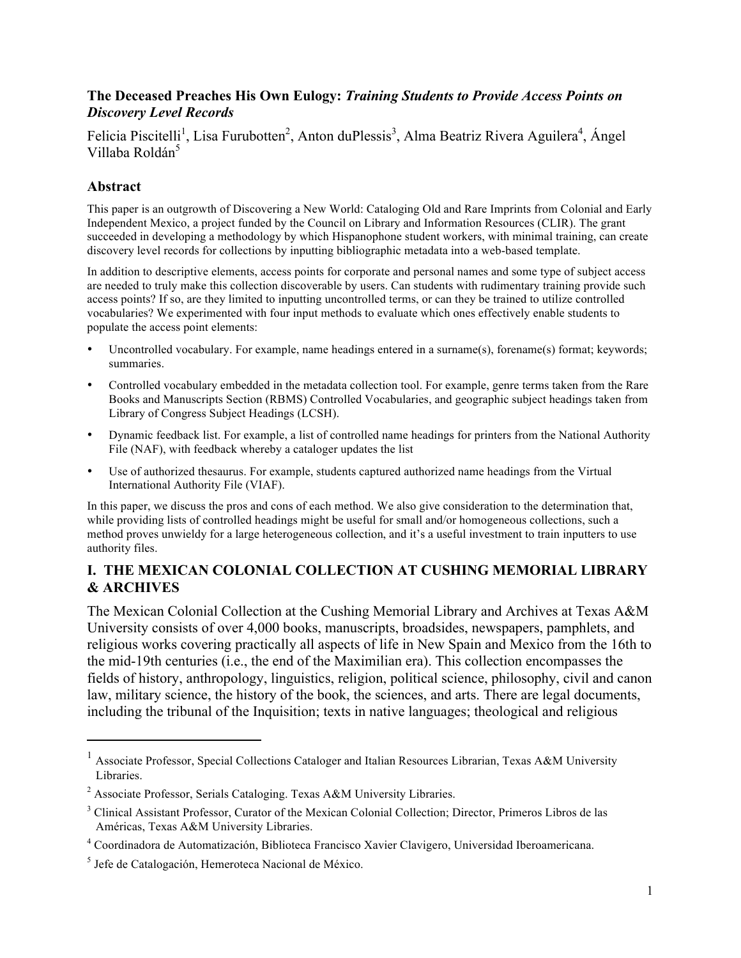#### **The Deceased Preaches His Own Eulogy:** *Training Students to Provide Access Points on Discovery Level Records*

Felicia Piscitelli<sup>1</sup>, Lisa Furubotten<sup>2</sup>, Anton duPlessis<sup>3</sup>, Alma Beatriz Rivera Aguilera<sup>4</sup>, Ángel Villaba Roldán<sup>5</sup>

#### **Abstract**

This paper is an outgrowth of Discovering a New World: Cataloging Old and Rare Imprints from Colonial and Early Independent Mexico, a project funded by the Council on Library and Information Resources (CLIR). The grant succeeded in developing a methodology by which Hispanophone student workers, with minimal training, can create discovery level records for collections by inputting bibliographic metadata into a web-based template.

In addition to descriptive elements, access points for corporate and personal names and some type of subject access are needed to truly make this collection discoverable by users. Can students with rudimentary training provide such access points? If so, are they limited to inputting uncontrolled terms, or can they be trained to utilize controlled vocabularies? We experimented with four input methods to evaluate which ones effectively enable students to populate the access point elements:

- Uncontrolled vocabulary. For example, name headings entered in a surname(s), forename(s) format; keywords; summaries.
- Controlled vocabulary embedded in the metadata collection tool. For example, genre terms taken from the Rare Books and Manuscripts Section (RBMS) Controlled Vocabularies, and geographic subject headings taken from Library of Congress Subject Headings (LCSH).
- Dynamic feedback list. For example, a list of controlled name headings for printers from the National Authority File (NAF), with feedback whereby a cataloger updates the list
- Use of authorized thesaurus. For example, students captured authorized name headings from the Virtual International Authority File (VIAF).

In this paper, we discuss the pros and cons of each method. We also give consideration to the determination that, while providing lists of controlled headings might be useful for small and/or homogeneous collections, such a method proves unwieldy for a large heterogeneous collection, and it's a useful investment to train inputters to use authority files.

### **I. THE MEXICAN COLONIAL COLLECTION AT CUSHING MEMORIAL LIBRARY & ARCHIVES**

The Mexican Colonial Collection at the Cushing Memorial Library and Archives at Texas A&M University consists of over 4,000 books, manuscripts, broadsides, newspapers, pamphlets, and religious works covering practically all aspects of life in New Spain and Mexico from the 16th to the mid-19th centuries (i.e., the end of the Maximilian era). This collection encompasses the fields of history, anthropology, linguistics, religion, political science, philosophy, civil and canon law, military science, the history of the book, the sciences, and arts. There are legal documents, including the tribunal of the Inquisition; texts in native languages; theological and religious

<u> 1989 - Johann Stein, markin film yn y breninn y breninn y breninn y breninn y breninn y breninn y breninn y b</u>

<sup>&</sup>lt;sup>1</sup> Associate Professor, Special Collections Cataloger and Italian Resources Librarian, Texas A&M University Libraries.

<sup>&</sup>lt;sup>2</sup> Associate Professor, Serials Cataloging. Texas A&M University Libraries.

<sup>&</sup>lt;sup>3</sup> Clinical Assistant Professor, Curator of the Mexican Colonial Collection; Director, Primeros Libros de las Américas, Texas A&M University Libraries.

<sup>4</sup> Coordinadora de Automatización, Biblioteca Francisco Xavier Clavigero, Universidad Iberoamericana.

<sup>5</sup> Jefe de Catalogación, Hemeroteca Nacional de México.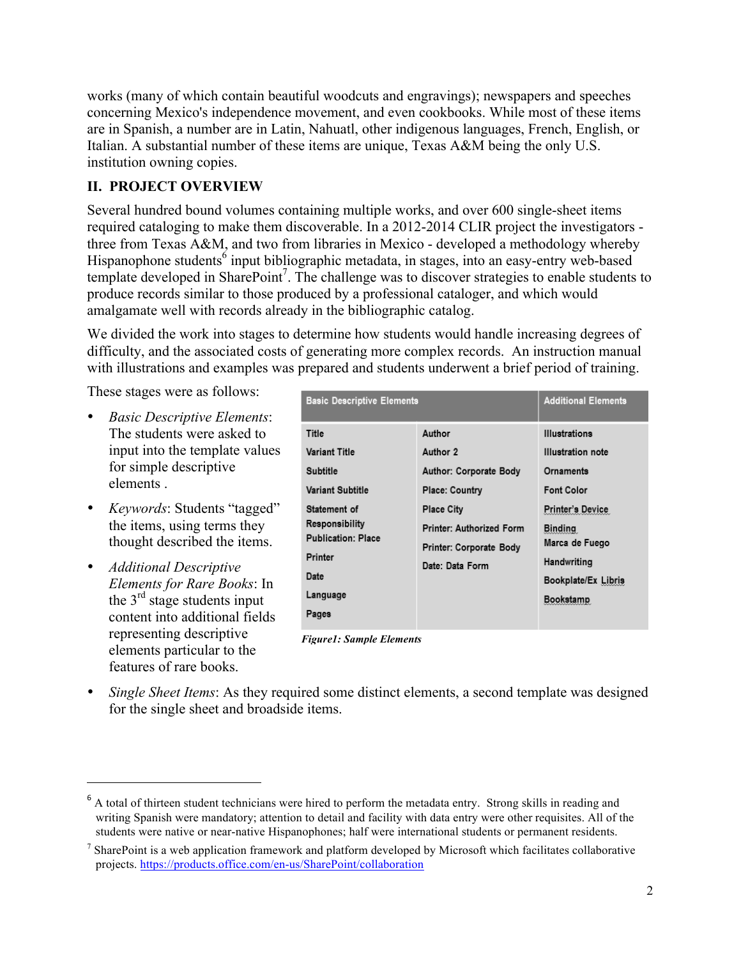works (many of which contain beautiful woodcuts and engravings); newspapers and speeches concerning Mexico's independence movement, and even cookbooks. While most of these items are in Spanish, a number are in Latin, Nahuatl, other indigenous languages, French, English, or Italian. A substantial number of these items are unique, Texas A&M being the only U.S. institution owning copies.

## **II. PROJECT OVERVIEW**

Several hundred bound volumes containing multiple works, and over 600 single-sheet items required cataloging to make them discoverable. In a 2012-2014 CLIR project the investigators three from Texas A&M, and two from libraries in Mexico - developed a methodology whereby Hispanophone students<sup>6</sup> input bibliographic metadata, in stages, into an easy-entry web-based template developed in SharePoint 7 . The challenge was to discover strategies to enable students to produce records similar to those produced by a professional cataloger, and which would amalgamate well with records already in the bibliographic catalog.

We divided the work into stages to determine how students would handle increasing degrees of difficulty, and the associated costs of generating more complex records. An instruction manual with illustrations and examples was prepared and students underwent a brief period of training.

These stages were as follows:

- *Basic Descriptive Elements*: The students were asked to input into the template values for simple descriptive elements .
- *Keywords*: Students "tagged" the items, using terms they thought described the items.
- *Additional Descriptive Elements for Rare Books*: In the  $3<sup>rd</sup>$  stage students input content into additional fields representing descriptive elements particular to the features of rare books.

<u> 1989 - Johann Stein, markin film yn y breninn y breninn y breninn y breninn y breninn y breninn y breninn y b</u>

| <b>Basic Descriptive Elements</b>                                                                                                                                                  |                                                                                                                                                                                    | <b>Additional Elements</b>                                                                                                                                                                                  |
|------------------------------------------------------------------------------------------------------------------------------------------------------------------------------------|------------------------------------------------------------------------------------------------------------------------------------------------------------------------------------|-------------------------------------------------------------------------------------------------------------------------------------------------------------------------------------------------------------|
| Title<br><b>Variant Title</b><br>Subtitle<br><b>Variant Subtitle</b><br>Statement of<br><b>Responsibility</b><br><b>Publication: Place</b><br>Printer<br>Date<br>Language<br>Pages | Author<br>Author 2<br><b>Author: Corporate Body</b><br><b>Place: Country</b><br><b>Place City</b><br><b>Printer: Authorized Form</b><br>Printer: Corporate Body<br>Date: Data Form | <b>Illustrations</b><br><b>Illustration</b> note<br>Ornaments<br><b>Font Color</b><br><b>Printer's Device</b><br><b>Binding</b><br>Marca de Fuego<br>Handwriting<br>Bookplate/Ex Libris<br><b>Bookstamp</b> |
|                                                                                                                                                                                    |                                                                                                                                                                                    |                                                                                                                                                                                                             |

*Figure1: Sample Elements*

• *Single Sheet Items*: As they required some distinct elements, a second template was designed for the single sheet and broadside items.

<sup>&</sup>lt;sup>6</sup> A total of thirteen student technicians were hired to perform the metadata entry. Strong skills in reading and writing Spanish were mandatory; attention to detail and facility with data entry were other requisites. All of the students were native or near-native Hispanophones; half were international students or permanent residents.

<sup>7</sup> SharePoint is a web application framework and platform developed by Microsoft which facilitates collaborative projects. https://products.office.com/en-us/SharePoint/collaboration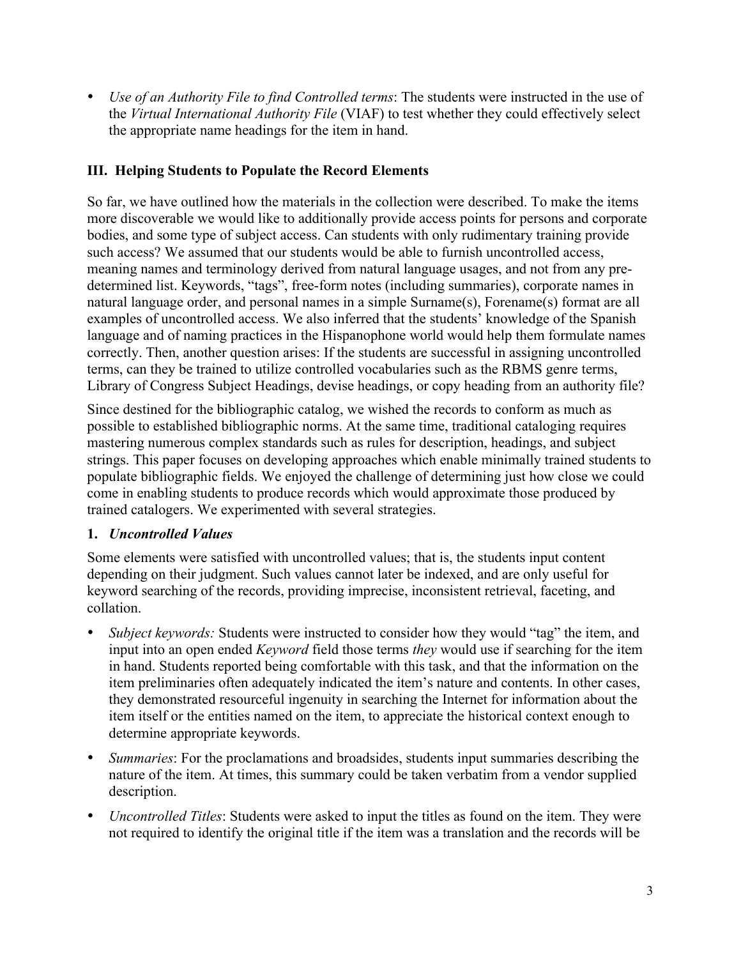• *Use of an Authority File to find Controlled terms*: The students were instructed in the use of the *Virtual International Authority File* (VIAF) to test whether they could effectively select the appropriate name headings for the item in hand.

## **III. Helping Students to Populate the Record Elements**

So far, we have outlined how the materials in the collection were described. To make the items more discoverable we would like to additionally provide access points for persons and corporate bodies, and some type of subject access. Can students with only rudimentary training provide such access? We assumed that our students would be able to furnish uncontrolled access, meaning names and terminology derived from natural language usages, and not from any predetermined list. Keywords, "tags", free-form notes (including summaries), corporate names in natural language order, and personal names in a simple Surname(s), Forename(s) format are all examples of uncontrolled access. We also inferred that the students' knowledge of the Spanish language and of naming practices in the Hispanophone world would help them formulate names correctly. Then, another question arises: If the students are successful in assigning uncontrolled terms, can they be trained to utilize controlled vocabularies such as the RBMS genre terms, Library of Congress Subject Headings, devise headings, or copy heading from an authority file?

Since destined for the bibliographic catalog, we wished the records to conform as much as possible to established bibliographic norms. At the same time, traditional cataloging requires mastering numerous complex standards such as rules for description, headings, and subject strings. This paper focuses on developing approaches which enable minimally trained students to populate bibliographic fields. We enjoyed the challenge of determining just how close we could come in enabling students to produce records which would approximate those produced by trained catalogers. We experimented with several strategies.

## **1.** *Uncontrolled Values*

Some elements were satisfied with uncontrolled values; that is, the students input content depending on their judgment. Such values cannot later be indexed, and are only useful for keyword searching of the records, providing imprecise, inconsistent retrieval, faceting, and collation.

- *Subject keywords:* Students were instructed to consider how they would "tag" the item, and input into an open ended *Keyword* field those terms *they* would use if searching for the item in hand. Students reported being comfortable with this task, and that the information on the item preliminaries often adequately indicated the item's nature and contents. In other cases, they demonstrated resourceful ingenuity in searching the Internet for information about the item itself or the entities named on the item, to appreciate the historical context enough to determine appropriate keywords.
- *Summaries*: For the proclamations and broadsides, students input summaries describing the nature of the item. At times, this summary could be taken verbatim from a vendor supplied description.
- *Uncontrolled Titles*: Students were asked to input the titles as found on the item. They were not required to identify the original title if the item was a translation and the records will be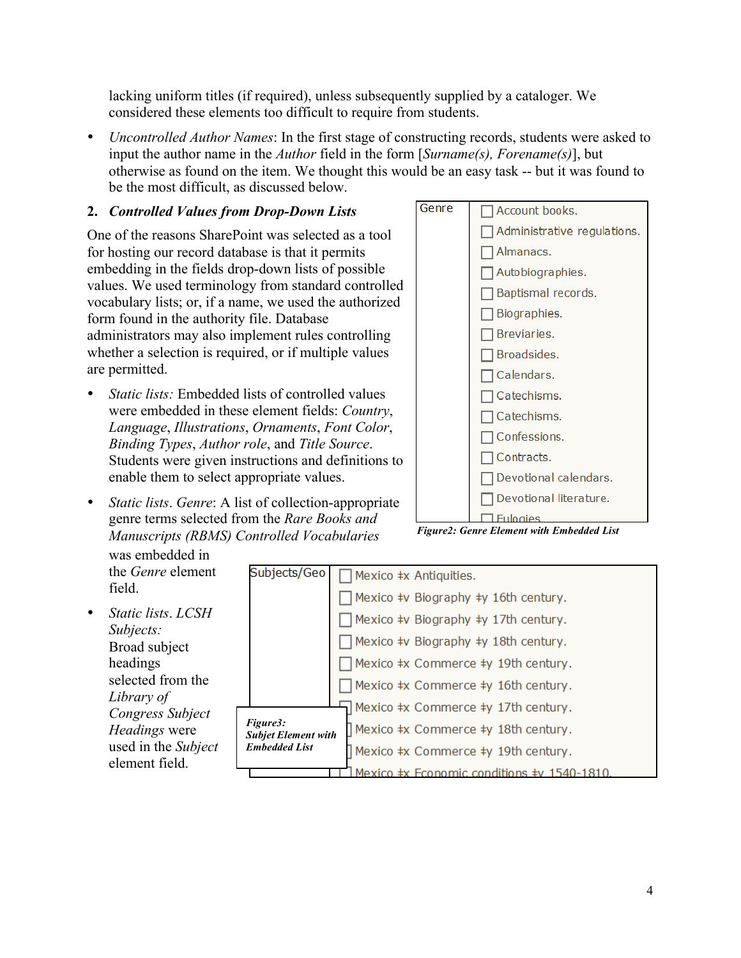lacking uniform titles (if required), unless subsequently supplied by a cataloger. We considered these elements too difficult to require from students.

• *Uncontrolled Author Names*: In the first stage of constructing records, students were asked to input the author name in the *Author* field in the form [*Surname(s), Forename(s)*], but otherwise as found on the item. We thought this would be an easy task -- but it was found to be the most difficult, as discussed below.

#### **2.** *Controlled Values from Drop-Down Lists*

One of the reasons SharePoint was selected as a tool for hosting our record database is that it permits embedding in the fields drop-down lists of possible values. We used terminology from standard controlled vocabulary lists; or, if a name, we used the authorized form found in the authority file. Database administrators may also implement rules controlling whether a selection is required, or if multiple values are permitted.

- *Static lists:* Embedded lists of controlled values were embedded in these element fields: *Country*, *Language*, *Illustrations*, *Ornaments*, *Font Color*, *Binding Types*, *Author role*, and *Title Source*. Students were given instructions and definitions to enable them to select appropriate values.
- *Static lists*. *Genre*: A list of collection-appropriate genre terms selected from the *Rare Books and Manuscripts (RBMS) Controlled Vocabularies*

field.

*Figure2: Genre Element with Embedded List*

was embedded in the *Genre* element Subjects/Geo  $\Box$  Mexico  $\pm x$  Antiquities.  $\Box$  Mexico ‡v Biography ‡y 16th century. • *Static lists*. *LCSH*   $\Box$  Mexico ‡v Biography ‡y 17th century. *Subjects:*   $\Box$  Mexico ‡v Biography ‡y 18th century. Broad subject headings  $\Box$  Mexico ‡x Commerce ‡y 19th century. selected from the  $\Box$  Mexico ‡x Commerce ‡y 16th century. *Library of*   $\overline{\Box}$  Mexico ‡x Commerce ‡y 17th century. *Congress Subject Figure3: Headings* were Mexico ‡x Commerce ‡y 18th century. *Subjet Element with*  used in the *Subject Embedded List*Mexico ‡x Commerce ‡y 19th century. element field.

#### $\overline{11}$  Mexico  $\pm$ x Economic conditions  $\pm$ v 1540-1810.

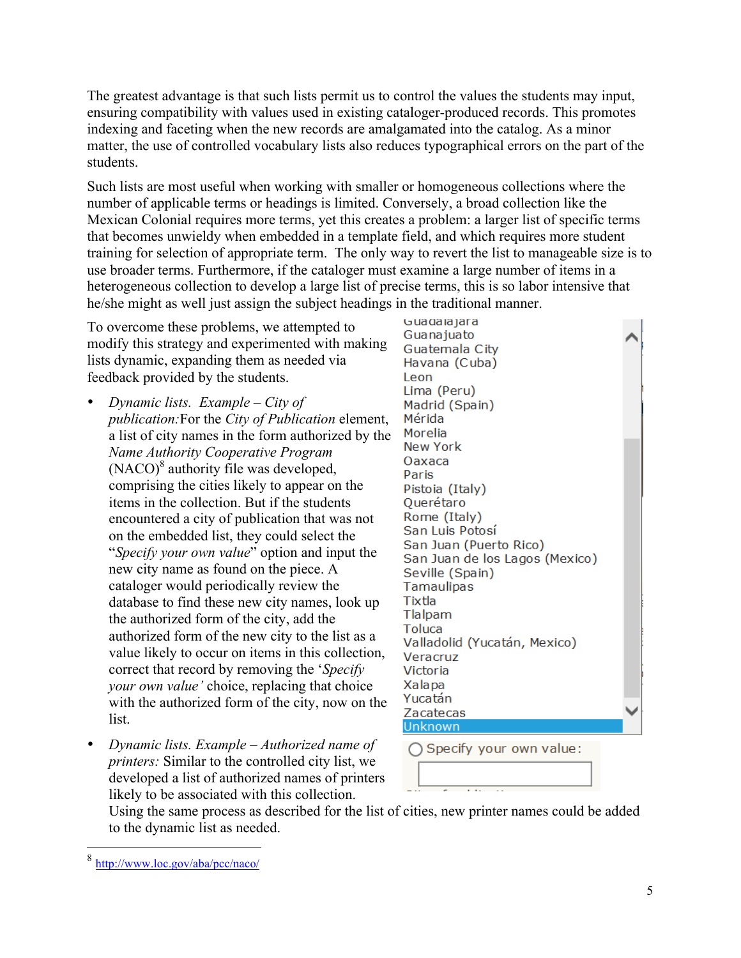The greatest advantage is that such lists permit us to control the values the students may input, ensuring compatibility with values used in existing cataloger-produced records. This promotes indexing and faceting when the new records are amalgamated into the catalog. As a minor matter, the use of controlled vocabulary lists also reduces typographical errors on the part of the students.

Such lists are most useful when working with smaller or homogeneous collections where the number of applicable terms or headings is limited. Conversely, a broad collection like the Mexican Colonial requires more terms, yet this creates a problem: a larger list of specific terms that becomes unwieldy when embedded in a template field, and which requires more student training for selection of appropriate term. The only way to revert the list to manageable size is to use broader terms. Furthermore, if the cataloger must examine a large number of items in a heterogeneous collection to develop a large list of precise terms, this is so labor intensive that he/she might as well just assign the subject headings in the traditional manner.

To overcome these problems, we attempted to modify this strategy and experimented with making lists dynamic, expanding them as needed via feedback provided by the students.

- *Dynamic lists. Example – City of publication:*For the *City of Publication* element, a list of city names in the form authorized by the *Name Authority Cooperative Program*  $(NACO)^8$  authority file was developed, comprising the cities likely to appear on the items in the collection. But if the students encountered a city of publication that was not on the embedded list, they could select the "*Specify your own value*" option and input the new city name as found on the piece. A cataloger would periodically review the database to find these new city names, look up the authorized form of the city, add the authorized form of the new city to the list as a value likely to occur on items in this collection, correct that record by removing the '*Specify your own value'* choice, replacing that choice with the authorized form of the city, now on the list.
- *Dynamic lists. Example – Authorized name of printers:* Similar to the controlled city list, we developed a list of authorized names of printers likely to be associated with this collection.

Guadalajara Guanajuato Guatemala City Havana (Cuba) Leon Lima (Peru) Madrid (Spain) Mérida Morelia **New York** Oaxaca Paris Pistoia (Italy) Querétaro Rome (Italy) San Luis Potosí San Juan (Puerto Rico) San Juan de los Lagos (Mexico) Seville (Spain) Tamaulipas Tixtla Tlalpam Toluca Valladolid (Yucatán, Mexico) Veracruz Victoria Xalapa Yucatán Zacatecas **Unknown** 

○ Specify your own value:

Using the same process as described for the list of cities, new printer names could be added to the dynamic list as needed.

 <sup>8</sup> http://www.loc.gov/aba/pcc/naco/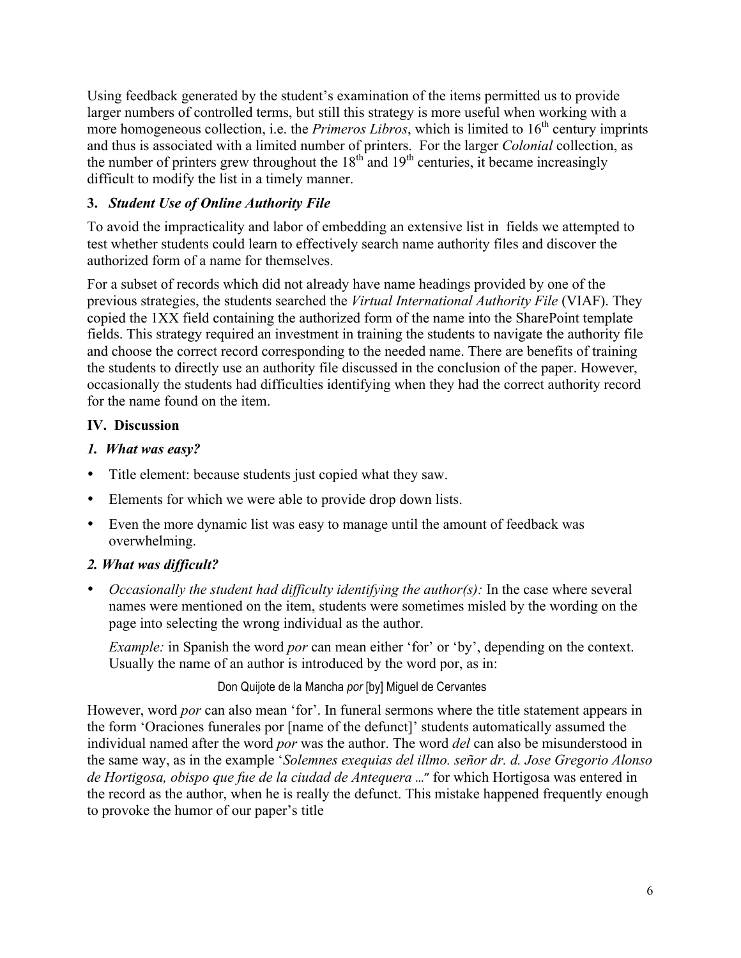Using feedback generated by the student's examination of the items permitted us to provide larger numbers of controlled terms, but still this strategy is more useful when working with a more homogeneous collection, i.e. the *Primeros Libros*, which is limited to  $16<sup>th</sup>$  century imprints and thus is associated with a limited number of printers. For the larger *Colonial* collection, as the number of printers grew throughout the  $18<sup>th</sup>$  and  $19<sup>th</sup>$  centuries, it became increasingly difficult to modify the list in a timely manner.

## **3.** *Student Use of Online Authority File*

To avoid the impracticality and labor of embedding an extensive list in fields we attempted to test whether students could learn to effectively search name authority files and discover the authorized form of a name for themselves.

For a subset of records which did not already have name headings provided by one of the previous strategies, the students searched the *Virtual International Authority File* (VIAF). They copied the 1XX field containing the authorized form of the name into the SharePoint template fields. This strategy required an investment in training the students to navigate the authority file and choose the correct record corresponding to the needed name. There are benefits of training the students to directly use an authority file discussed in the conclusion of the paper. However, occasionally the students had difficulties identifying when they had the correct authority record for the name found on the item.

## **IV. Discussion**

#### *1. What was easy?*

- Title element: because students just copied what they saw.
- Elements for which we were able to provide drop down lists.
- Even the more dynamic list was easy to manage until the amount of feedback was overwhelming.

## *2. What was difficult?*

• *Occasionally the student had difficulty identifying the author(s):* In the case where several names were mentioned on the item, students were sometimes misled by the wording on the page into selecting the wrong individual as the author.

*Example:* in Spanish the word *por* can mean either 'for' or 'by', depending on the context. Usually the name of an author is introduced by the word por, as in:

#### Don Quijote de la Mancha *por* [by] Miguel de Cervantes

However, word *por* can also mean 'for'. In funeral sermons where the title statement appears in the form 'Oraciones funerales por [name of the defunct]' students automatically assumed the individual named after the word *por* was the author. The word *del* can also be misunderstood in the same way, as in the example '*Solemnes exequias del illmo. señor dr. d. Jose Gregorio Alonso de Hortigosa, obispo que fue de la ciudad de Antequera* ..." for which Hortigosa was entered in the record as the author, when he is really the defunct. This mistake happened frequently enough to provoke the humor of our paper's title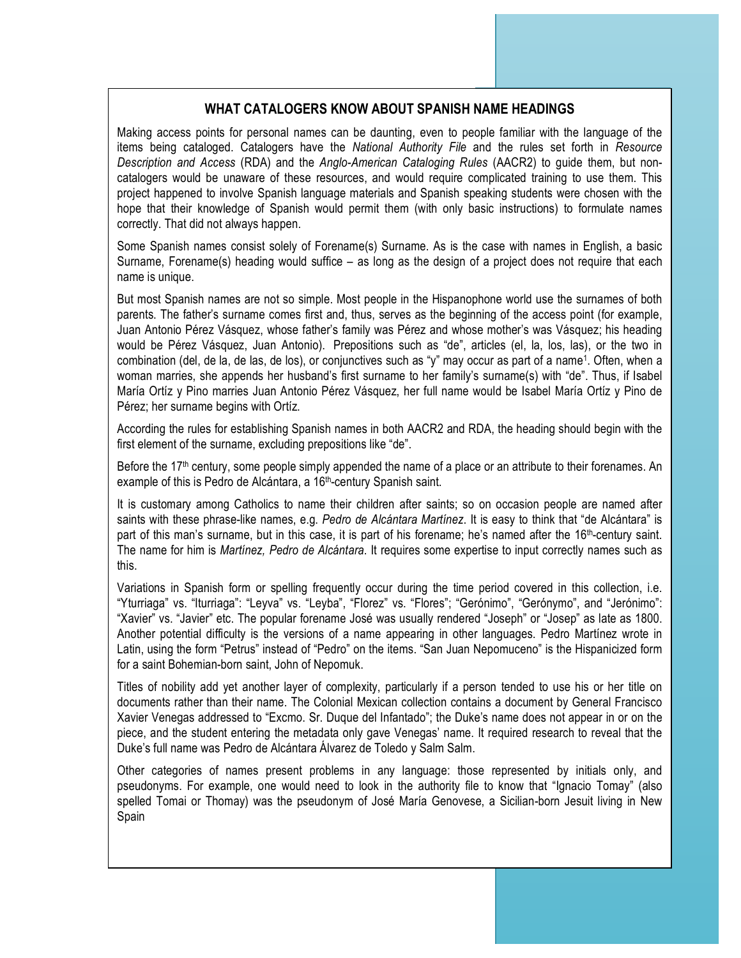#### **WHAT CATALOGERS KNOW ABOUT SPANISH NAME HEADINGS**

Making access points for personal names can be daunting, even to people familiar with the language of the items being cataloged. Catalogers have the *National Authority File* and the rules set forth in *Resource Description and Access* (RDA) and the *Anglo-American Cataloging Rules* (AACR2) to guide them, but noncatalogers would be unaware of these resources, and would require complicated training to use them. This project happened to involve Spanish language materials and Spanish speaking students were chosen with the hope that their knowledge of Spanish would permit them (with only basic instructions) to formulate names correctly. That did not always happen.

Some Spanish names consist solely of Forename(s) Surname. As is the case with names in English, a basic Surname, Forename(s) heading would suffice – as long as the design of a project does not require that each name is unique.

But most Spanish names are not so simple. Most people in the Hispanophone world use the surnames of both parents. The father's surname comes first and, thus, serves as the beginning of the access point (for example, Juan Antonio Pérez Vásquez, whose father's family was Pérez and whose mother's was Vásquez; his heading would be Pérez Vásquez, Juan Antonio). Prepositions such as "de", articles (el, la, los, las), or the two in combination (del, de la, de las, de los), or conjunctives such as "y" may occur as part of a name1. Often, when a woman marries, she appends her husband's first surname to her family's surname(s) with "de". Thus, if Isabel María Ortíz y Pino marries Juan Antonio Pérez Vásquez, her full name would be Isabel María Ortíz y Pino de Pérez; her surname begins with Ortíz.

According the rules for establishing Spanish names in both AACR2 and RDA, the heading should begin with the first element of the surname, excluding prepositions like "de".

Before the 17<sup>th</sup> century, some people simply appended the name of a place or an attribute to their forenames. An example of this is Pedro de Alcántara, a 16<sup>th</sup>-century Spanish saint.

It is customary among Catholics to name their children after saints; so on occasion people are named after saints with these phrase-like names, e.g. *Pedro de Alcántara Martínez*. It is easy to think that "de Alcántara" is part of this man's surname, but in this case, it is part of his forename; he's named after the  $16<sup>th</sup>$ -century saint. The name for him is *Martínez, Pedro de Alcántara*. It requires some expertise to input correctly names such as this.

Variations in Spanish form or spelling frequently occur during the time period covered in this collection, i.e. "Yturriaga" vs. "Iturriaga": "Leyva" vs. "Leyba", "Florez" vs. "Flores"; "Gerónimo", "Gerónymo", and "Jerónimo": "Xavier" vs. "Javier" etc. The popular forename José was usually rendered "Joseph" or "Josep" as late as 1800. Another potential difficulty is the versions of a name appearing in other languages. Pedro Martínez wrote in Latin, using the form "Petrus" instead of "Pedro" on the items. "San Juan Nepomuceno" is the Hispanicized form for a saint Bohemian-born saint, John of Nepomuk.

Titles of nobility add yet another layer of complexity, particularly if a person tended to use his or her title on documents rather than their name. The Colonial Mexican collection contains a document by General Francisco Xavier Venegas addressed to "Excmo. Sr. Duque del Infantado"; the Duke's name does not appear in or on the piece, and the student entering the metadata only gave Venegas' name. It required research to reveal that the Duke's full name was Pedro de Alcántara Álvarez de Toledo y Salm Salm.

Other categories of names present problems in any language: those represented by initials only, and pseudonyms. For example, one would need to look in the authority file to know that "Ignacio Tomay" (also spelled Tomai or Thomay) was the pseudonym of José María Genovese, a Sicilian-born Jesuit living in New Spain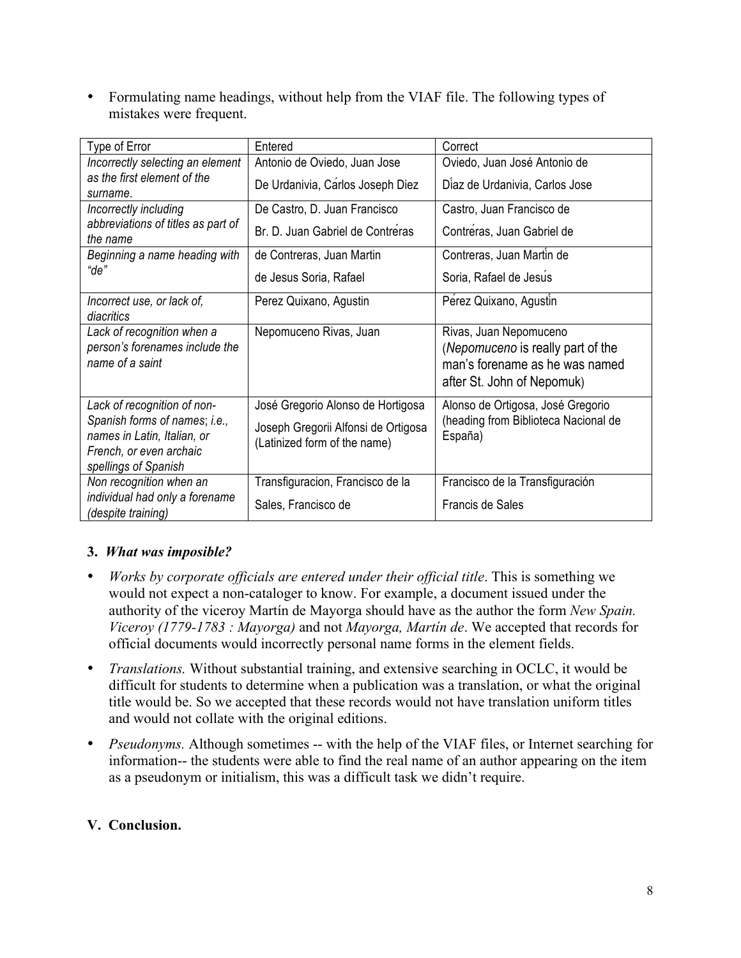• Formulating name headings, without help from the VIAF file. The following types of mistakes were frequent.

| Type of Error                                                                                                   | Entered                                                             | Correct                                                                                                                     |  |
|-----------------------------------------------------------------------------------------------------------------|---------------------------------------------------------------------|-----------------------------------------------------------------------------------------------------------------------------|--|
| Incorrectly selecting an element                                                                                | Antonio de Oviedo, Juan Jose                                        | Oviedo, Juan José Antonio de                                                                                                |  |
| as the first element of the                                                                                     | De Urdanivia, Carlos Joseph Diez                                    | Diaz de Urdanivia, Carlos Jose                                                                                              |  |
| surname.                                                                                                        |                                                                     |                                                                                                                             |  |
| Incorrectly including                                                                                           | De Castro, D. Juan Francisco                                        | Castro, Juan Francisco de                                                                                                   |  |
| abbreviations of titles as part of<br>the name                                                                  | Br. D. Juan Gabriel de Contréras                                    | Contréras, Juan Gabriel de                                                                                                  |  |
| Beginning a name heading with                                                                                   | de Contreras, Juan Martin                                           | Contreras, Juan Martin de                                                                                                   |  |
| "de"                                                                                                            | de Jesus Soria, Rafael                                              | Soria, Rafael de Jesus                                                                                                      |  |
| Incorrect use, or lack of,<br>diacritics                                                                        | Perez Quixano, Agustin                                              | Perez Quixano, Agustin                                                                                                      |  |
| Lack of recognition when a<br>person's forenames include the<br>name of a saint                                 | Nepomuceno Rivas, Juan                                              | Rivas, Juan Nepomuceno<br>(Nepomuceno is really part of the<br>man's forename as he was named<br>after St. John of Nepomuk) |  |
| Lack of recognition of non-                                                                                     | José Gregorio Alonso de Hortigosa                                   | Alonso de Ortigosa, José Gregorio                                                                                           |  |
| Spanish forms of names; i.e.,<br>names in Latin, Italian, or<br>French, or even archaic<br>spellings of Spanish | Joseph Gregorii Alfonsi de Ortigosa<br>(Latinized form of the name) | (heading from Biblioteca Nacional de<br>España)                                                                             |  |
| Non recognition when an                                                                                         | Transfiguracion, Francisco de la                                    | Francisco de la Transfiguración                                                                                             |  |
| individual had only a forename<br>(despite training)                                                            | Sales, Francisco de                                                 | Francis de Sales                                                                                                            |  |

# **3.** *What was imposible?*

- *Works by corporate officials are entered under their official title*. This is something we would not expect a non-cataloger to know. For example, a document issued under the authority of the viceroy Martín de Mayorga should have as the author the form *New Spain. Viceroy (1779-1783 : Mayorga)* and not *Mayorga, Martín de*. We accepted that records for official documents would incorrectly personal name forms in the element fields.
- *Translations.* Without substantial training, and extensive searching in OCLC, it would be difficult for students to determine when a publication was a translation, or what the original title would be. So we accepted that these records would not have translation uniform titles and would not collate with the original editions.
- *Pseudonyms.* Although sometimes -- with the help of the VIAF files, or Internet searching for information-- the students were able to find the real name of an author appearing on the item as a pseudonym or initialism, this was a difficult task we didn't require.

## **V. Conclusion.**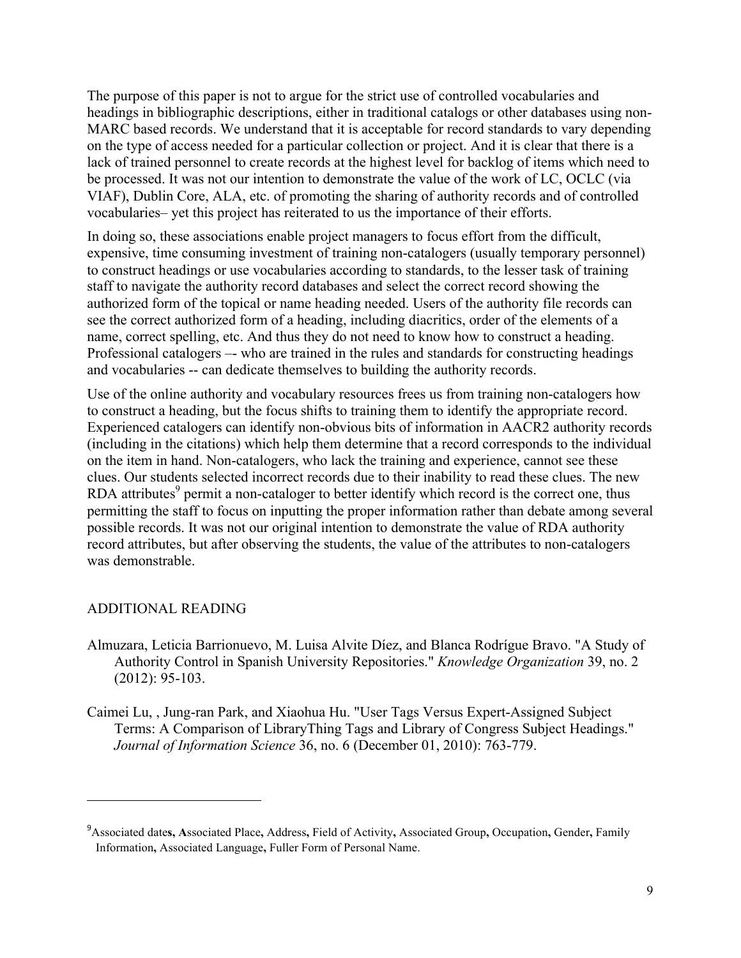The purpose of this paper is not to argue for the strict use of controlled vocabularies and headings in bibliographic descriptions, either in traditional catalogs or other databases using non-MARC based records. We understand that it is acceptable for record standards to vary depending on the type of access needed for a particular collection or project. And it is clear that there is a lack of trained personnel to create records at the highest level for backlog of items which need to be processed. It was not our intention to demonstrate the value of the work of LC, OCLC (via VIAF), Dublin Core, ALA, etc. of promoting the sharing of authority records and of controlled vocabularies– yet this project has reiterated to us the importance of their efforts.

In doing so, these associations enable project managers to focus effort from the difficult, expensive, time consuming investment of training non-catalogers (usually temporary personnel) to construct headings or use vocabularies according to standards, to the lesser task of training staff to navigate the authority record databases and select the correct record showing the authorized form of the topical or name heading needed. Users of the authority file records can see the correct authorized form of a heading, including diacritics, order of the elements of a name, correct spelling, etc. And thus they do not need to know how to construct a heading. Professional catalogers –- who are trained in the rules and standards for constructing headings and vocabularies -- can dedicate themselves to building the authority records.

Use of the online authority and vocabulary resources frees us from training non-catalogers how to construct a heading, but the focus shifts to training them to identify the appropriate record. Experienced catalogers can identify non-obvious bits of information in AACR2 authority records (including in the citations) which help them determine that a record corresponds to the individual on the item in hand. Non-catalogers, who lack the training and experience, cannot see these clues. Our students selected incorrect records due to their inability to read these clues. The new RDA attributes $9$  permit a non-cataloger to better identify which record is the correct one, thus permitting the staff to focus on inputting the proper information rather than debate among several possible records. It was not our original intention to demonstrate the value of RDA authority record attributes, but after observing the students, the value of the attributes to non-catalogers was demonstrable.

#### ADDITIONAL READING

<u> 1989 - Johann Stein, markin film yn y breninn y breninn y breninn y breninn y breninn y breninn y breninn y b</u>

- Almuzara, Leticia Barrionuevo, M. Luisa Alvite Díez, and Blanca Rodrígue Bravo. "A Study of Authority Control in Spanish University Repositories." *Knowledge Organization* 39, no. 2 (2012): 95-103.
- Caimei Lu, , Jung-ran Park, and Xiaohua Hu. "User Tags Versus Expert-Assigned Subject Terms: A Comparison of LibraryThing Tags and Library of Congress Subject Headings." *Journal of Information Science* 36, no. 6 (December 01, 2010): 763-779.

<sup>9</sup> Associated date**s, A**ssociated Place**,** Address**,** Field of Activity**,** Associated Group**,** Occupation**,** Gender**,** Family Information**,** Associated Language**,** Fuller Form of Personal Name.